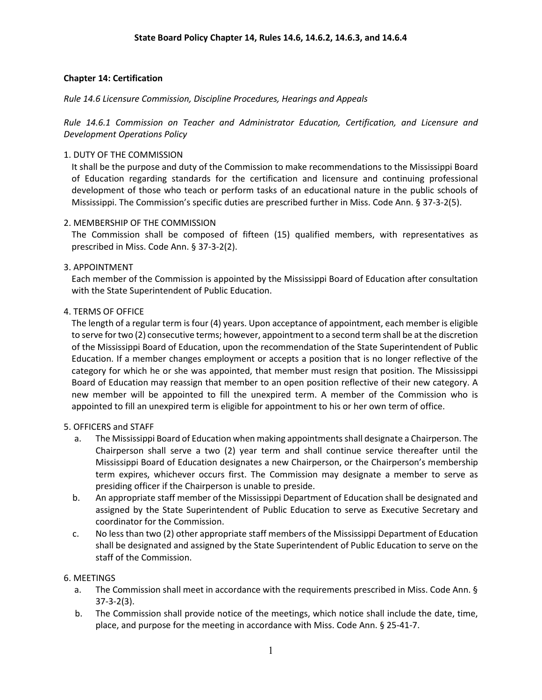### **Chapter 14: Certification**

*Rule 14.6 Licensure Commission, Discipline Procedures, Hearings and Appeals*

*Rule 14.6.1 Commission on Teacher and Administrator Education, Certification, and Licensure and Development Operations Policy*

### 1. DUTY OF THE COMMISSION

It shall be the purpose and duty of the Commission to make recommendations to the Mississippi Board of Education regarding standards for the certification and licensure and continuing professional development of those who teach or perform tasks of an educational nature in the public schools of Mississippi. The Commission's specific duties are prescribed further in Miss. Code Ann. § 37-3-2(5).

### 2. MEMBERSHIP OF THE COMMISSION

The Commission shall be composed of fifteen (15) qualified members, with representatives as prescribed in Miss. Code Ann. § 37-3-2(2).

### 3. APPOINTMENT

Each member of the Commission is appointed by the Mississippi Board of Education after consultation with the State Superintendent of Public Education.

### 4. TERMS OF OFFICE

The length of a regular term is four (4) years. Upon acceptance of appointment, each member is eligible to serve for two (2) consecutive terms; however, appointment to a second term shall be at the discretion of the Mississippi Board of Education, upon the recommendation of the State Superintendent of Public Education. If a member changes employment or accepts a position that is no longer reflective of the category for which he or she was appointed, that member must resign that position. The Mississippi Board of Education may reassign that member to an open position reflective of their new category. A new member will be appointed to fill the unexpired term. A member of the Commission who is appointed to fill an unexpired term is eligible for appointment to his or her own term of office.

### 5. OFFICERS and STAFF

- a. The Mississippi Board of Education when making appointments shall designate a Chairperson. The Chairperson shall serve a two (2) year term and shall continue service thereafter until the Mississippi Board of Education designates a new Chairperson, or the Chairperson's membership term expires, whichever occurs first. The Commission may designate a member to serve as presiding officer if the Chairperson is unable to preside.
- b. An appropriate staff member of the Mississippi Department of Education shall be designated and assigned by the State Superintendent of Public Education to serve as Executive Secretary and coordinator for the Commission.
- c. No less than two (2) other appropriate staff members of the Mississippi Department of Education shall be designated and assigned by the State Superintendent of Public Education to serve on the staff of the Commission.

## 6. MEETINGS

- a. The Commission shall meet in accordance with the requirements prescribed in Miss. Code Ann. § 37-3-2(3).
- b. The Commission shall provide notice of the meetings, which notice shall include the date, time, place, and purpose for the meeting in accordance with Miss. Code Ann. § 25-41-7.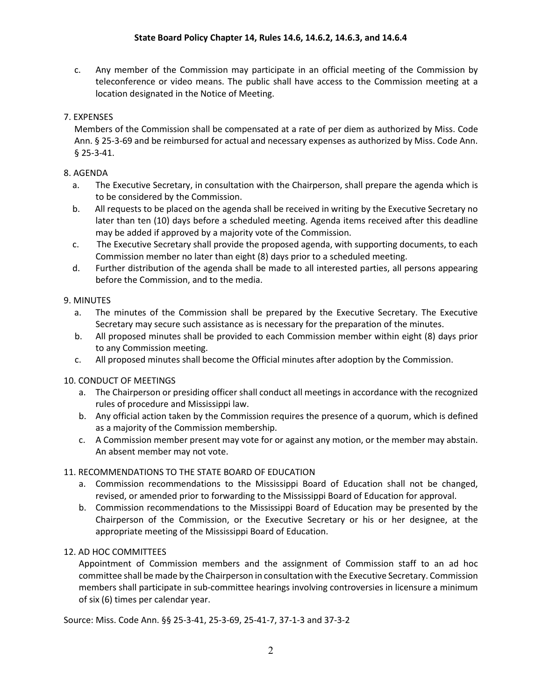c. Any member of the Commission may participate in an official meeting of the Commission by teleconference or video means. The public shall have access to the Commission meeting at a location designated in the Notice of Meeting.

# 7. EXPENSES

Members of the Commission shall be compensated at a rate of per diem as authorized by Miss. Code Ann. § 25-3-69 and be reimbursed for actual and necessary expenses as authorized by Miss. Code Ann. § 25-3-41.

## 8. AGENDA

- a. The Executive Secretary, in consultation with the Chairperson, shall prepare the agenda which is to be considered by the Commission.
- b. All requests to be placed on the agenda shall be received in writing by the Executive Secretary no later than ten (10) days before a scheduled meeting. Agenda items received after this deadline may be added if approved by a majority vote of the Commission.
- c. The Executive Secretary shall provide the proposed agenda, with supporting documents, to each Commission member no later than eight (8) days prior to a scheduled meeting.
- d. Further distribution of the agenda shall be made to all interested parties, all persons appearing before the Commission, and to the media.

## 9. MINUTES

- a. The minutes of the Commission shall be prepared by the Executive Secretary. The Executive Secretary may secure such assistance as is necessary for the preparation of the minutes.
- b. All proposed minutes shall be provided to each Commission member within eight (8) days prior to any Commission meeting.
- c. All proposed minutes shall become the Official minutes after adoption by the Commission.

## 10. CONDUCT OF MEETINGS

- a. The Chairperson or presiding officer shall conduct all meetings in accordance with the recognized rules of procedure and Mississippi law.
- b. Any official action taken by the Commission requires the presence of a quorum, which is defined as a majority of the Commission membership.
- c. A Commission member present may vote for or against any motion, or the member may abstain. An absent member may not vote.

## 11. RECOMMENDATIONS TO THE STATE BOARD OF EDUCATION

- a. Commission recommendations to the Mississippi Board of Education shall not be changed, revised, or amended prior to forwarding to the Mississippi Board of Education for approval.
- b. Commission recommendations to the Mississippi Board of Education may be presented by the Chairperson of the Commission, or the Executive Secretary or his or her designee, at the appropriate meeting of the Mississippi Board of Education.

# 12. AD HOC COMMITTEES

Appointment of Commission members and the assignment of Commission staff to an ad hoc committee shall be made by the Chairperson in consultation with the Executive Secretary. Commission members shall participate in sub-committee hearings involving controversies in licensure a minimum of six (6) times per calendar year.

## Source: Miss. Code Ann. §§ 25-3-41, 25-3-69, 25-41-7, 37-1-3 and 37-3-2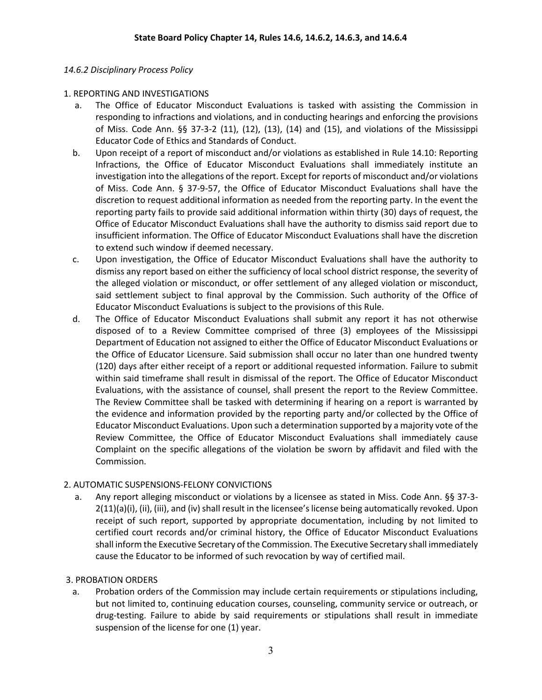### *14.6.2 Disciplinary Process Policy*

### 1. REPORTING AND INVESTIGATIONS

- a. The Office of Educator Misconduct Evaluations is tasked with assisting the Commission in responding to infractions and violations, and in conducting hearings and enforcing the provisions of Miss. Code Ann. §§ 37-3-2 (11), (12), (13), (14) and (15), and violations of the Mississippi Educator Code of Ethics and Standards of Conduct.
- b. Upon receipt of a report of misconduct and/or violations as established in Rule 14.10: Reporting Infractions, the Office of Educator Misconduct Evaluations shall immediately institute an investigation into the allegations of the report. Except for reports of misconduct and/or violations of Miss. Code Ann. § 37-9-57, the Office of Educator Misconduct Evaluations shall have the discretion to request additional information as needed from the reporting party. In the event the reporting party fails to provide said additional information within thirty (30) days of request, the Office of Educator Misconduct Evaluations shall have the authority to dismiss said report due to insufficient information. The Office of Educator Misconduct Evaluations shall have the discretion to extend such window if deemed necessary.
- c. Upon investigation, the Office of Educator Misconduct Evaluations shall have the authority to dismiss any report based on either the sufficiency of local school district response, the severity of the alleged violation or misconduct, or offer settlement of any alleged violation or misconduct, said settlement subject to final approval by the Commission. Such authority of the Office of Educator Misconduct Evaluations is subject to the provisions of this Rule.
- d. The Office of Educator Misconduct Evaluations shall submit any report it has not otherwise disposed of to a Review Committee comprised of three (3) employees of the Mississippi Department of Education not assigned to either the Office of Educator Misconduct Evaluations or the Office of Educator Licensure. Said submission shall occur no later than one hundred twenty (120) days after either receipt of a report or additional requested information. Failure to submit within said timeframe shall result in dismissal of the report. The Office of Educator Misconduct Evaluations, with the assistance of counsel, shall present the report to the Review Committee. The Review Committee shall be tasked with determining if hearing on a report is warranted by the evidence and information provided by the reporting party and/or collected by the Office of Educator Misconduct Evaluations. Upon such a determination supported by a majority vote of the Review Committee, the Office of Educator Misconduct Evaluations shall immediately cause Complaint on the specific allegations of the violation be sworn by affidavit and filed with the Commission.

## 2. AUTOMATIC SUSPENSIONS-FELONY CONVICTIONS

 a. Any report alleging misconduct or violations by a licensee as stated in Miss. Code Ann. §§ 37-3- 2(11)(a)(i), (ii), (iii), and (iv) shall result in the licensee's license being automatically revoked. Upon receipt of such report, supported by appropriate documentation, including by not limited to certified court records and/or criminal history, the Office of Educator Misconduct Evaluations shall inform the Executive Secretary of the Commission. The Executive Secretary shall immediately cause the Educator to be informed of such revocation by way of certified mail.

## 3. PROBATION ORDERS

a. Probation orders of the Commission may include certain requirements or stipulations including, but not limited to, continuing education courses, counseling, community service or outreach, or drug-testing. Failure to abide by said requirements or stipulations shall result in immediate suspension of the license for one (1) year.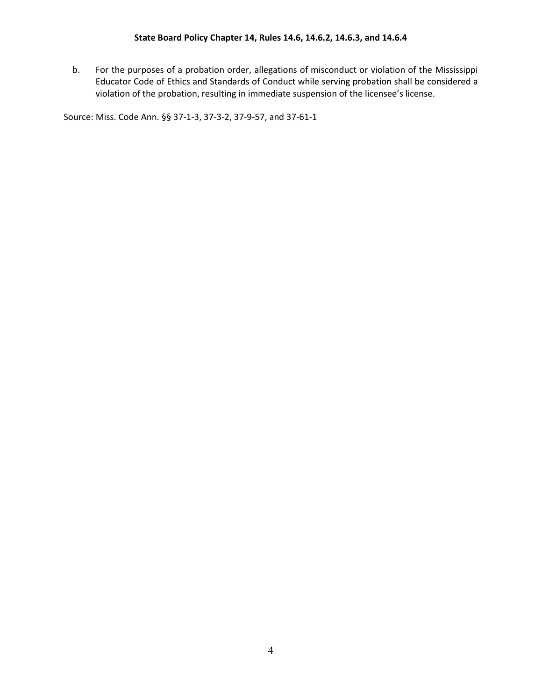b. For the purposes of a probation order, allegations of misconduct or violation of the Mississippi Educator Code of Ethics and Standards of Conduct while serving probation shall be considered a violation of the probation, resulting in immediate suspension of the licensee's license.

Source: Miss. Code Ann. §§ 37-1-3, 37-3-2, 37-9-57, and 37-61-1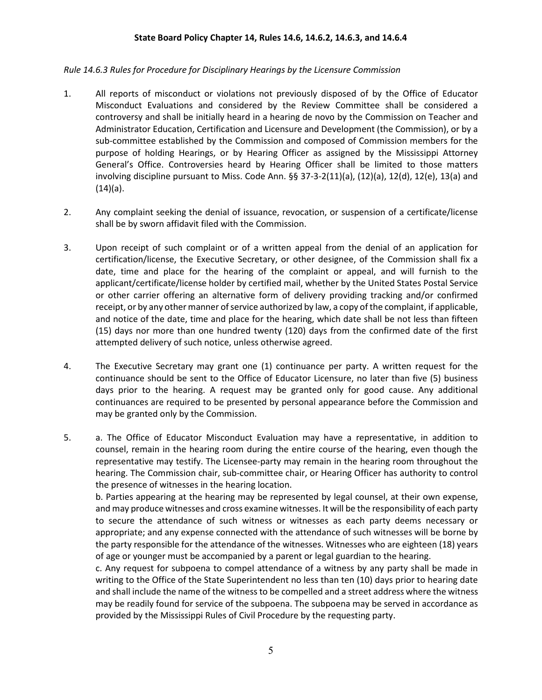#### **State Board Policy Chapter 14, Rules 14.6, 14.6.2, 14.6.3, and 14.6.4**

### *Rule 14.6.3 Rules for Procedure for Disciplinary Hearings by the Licensure Commission*

- 1. All reports of misconduct or violations not previously disposed of by the Office of Educator Misconduct Evaluations and considered by the Review Committee shall be considered a controversy and shall be initially heard in a hearing de novo by the Commission on Teacher and Administrator Education, Certification and Licensure and Development (the Commission), or by a sub-committee established by the Commission and composed of Commission members for the purpose of holding Hearings, or by Hearing Officer as assigned by the Mississippi Attorney General's Office. Controversies heard by Hearing Officer shall be limited to those matters involving discipline pursuant to Miss. Code Ann.  $\S$ § 37-3-2(11)(a), (12)(a), 12(d), 12(e), 13(a) and  $(14)(a)$ .
- 2. Any complaint seeking the denial of issuance, revocation, or suspension of a certificate/license shall be by sworn affidavit filed with the Commission.
- 3. Upon receipt of such complaint or of a written appeal from the denial of an application for certification/license, the Executive Secretary, or other designee, of the Commission shall fix a date, time and place for the hearing of the complaint or appeal, and will furnish to the applicant/certificate/license holder by certified mail, whether by the United States Postal Service or other carrier offering an alternative form of delivery providing tracking and/or confirmed receipt, or by any other manner of service authorized by law, a copy of the complaint, if applicable, and notice of the date, time and place for the hearing, which date shall be not less than fifteen (15) days nor more than one hundred twenty (120) days from the confirmed date of the first attempted delivery of such notice, unless otherwise agreed.
- 4. The Executive Secretary may grant one (1) continuance per party. A written request for the continuance should be sent to the Office of Educator Licensure, no later than five (5) business days prior to the hearing. A request may be granted only for good cause. Any additional continuances are required to be presented by personal appearance before the Commission and may be granted only by the Commission.
- 5. a. The Office of Educator Misconduct Evaluation may have a representative, in addition to counsel, remain in the hearing room during the entire course of the hearing, even though the representative may testify. The Licensee-party may remain in the hearing room throughout the hearing. The Commission chair, sub-committee chair, or Hearing Officer has authority to control the presence of witnesses in the hearing location.

b. Parties appearing at the hearing may be represented by legal counsel, at their own expense, and may produce witnesses and cross examine witnesses. It will be the responsibility of each party to secure the attendance of such witness or witnesses as each party deems necessary or appropriate; and any expense connected with the attendance of such witnesses will be borne by the party responsible for the attendance of the witnesses. Witnesses who are eighteen (18) years of age or younger must be accompanied by a parent or legal guardian to the hearing.

c. Any request for subpoena to compel attendance of a witness by any party shall be made in writing to the Office of the State Superintendent no less than ten (10) days prior to hearing date and shall include the name of the witness to be compelled and a street address where the witness may be readily found for service of the subpoena. The subpoena may be served in accordance as provided by the Mississippi Rules of Civil Procedure by the requesting party.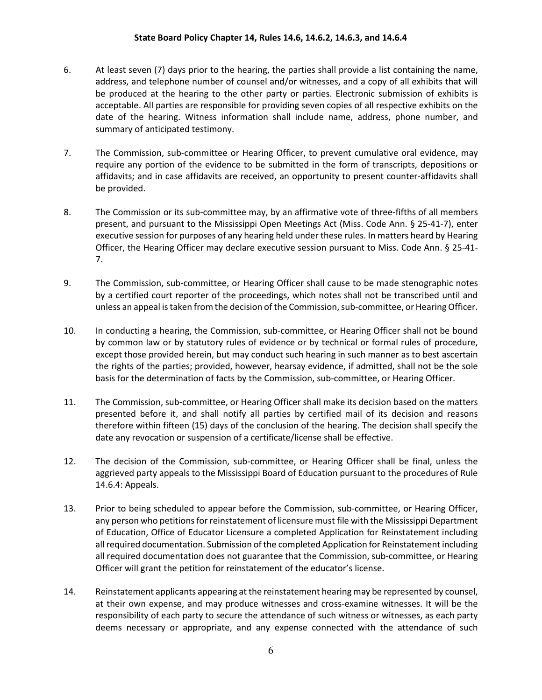#### **State Board Policy Chapter 14, Rules 14.6, 14.6.2, 14.6.3, and 14.6.4**

- 6. At least seven (7) days prior to the hearing, the parties shall provide a list containing the name, address, and telephone number of counsel and/or witnesses, and a copy of all exhibits that will be produced at the hearing to the other party or parties. Electronic submission of exhibits is acceptable. All parties are responsible for providing seven copies of all respective exhibits on the date of the hearing. Witness information shall include name, address, phone number, and summary of anticipated testimony.
- 7. The Commission, sub-committee or Hearing Officer, to prevent cumulative oral evidence, may require any portion of the evidence to be submitted in the form of transcripts, depositions or affidavits; and in case affidavits are received, an opportunity to present counter-affidavits shall be provided.
- 8. The Commission or its sub-committee may, by an affirmative vote of three-fifths of all members present, and pursuant to the Mississippi Open Meetings Act (Miss. Code Ann. § 25-41-7), enter executive session for purposes of any hearing held under these rules. In matters heard by Hearing Officer, the Hearing Officer may declare executive session pursuant to Miss. Code Ann. § 25-41- 7.
- 9. The Commission, sub-committee, or Hearing Officer shall cause to be made stenographic notes by a certified court reporter of the proceedings, which notes shall not be transcribed until and unless an appeal is taken from the decision of the Commission, sub-committee, or Hearing Officer.
- 10. In conducting a hearing, the Commission, sub-committee, or Hearing Officer shall not be bound by common law or by statutory rules of evidence or by technical or formal rules of procedure, except those provided herein, but may conduct such hearing in such manner as to best ascertain the rights of the parties; provided, however, hearsay evidence, if admitted, shall not be the sole basis for the determination of facts by the Commission, sub-committee, or Hearing Officer.
- 11. The Commission, sub-committee, or Hearing Officer shall make its decision based on the matters presented before it, and shall notify all parties by certified mail of its decision and reasons therefore within fifteen (15) days of the conclusion of the hearing. The decision shall specify the date any revocation or suspension of a certificate/license shall be effective.
- 12. The decision of the Commission, sub-committee, or Hearing Officer shall be final, unless the aggrieved party appeals to the Mississippi Board of Education pursuant to the procedures of Rule 14.6.4: Appeals.
- 13. Prior to being scheduled to appear before the Commission, sub-committee, or Hearing Officer, any person who petitions for reinstatement of licensure must file with the Mississippi Department of Education, Office of Educator Licensure a completed Application for Reinstatement including all required documentation. Submission of the completed Application for Reinstatement including all required documentation does not guarantee that the Commission, sub-committee, or Hearing Officer will grant the petition for reinstatement of the educator's license.
- 14. Reinstatement applicants appearing at the reinstatement hearing may be represented by counsel, at their own expense, and may produce witnesses and cross-examine witnesses. It will be the responsibility of each party to secure the attendance of such witness or witnesses, as each party deems necessary or appropriate, and any expense connected with the attendance of such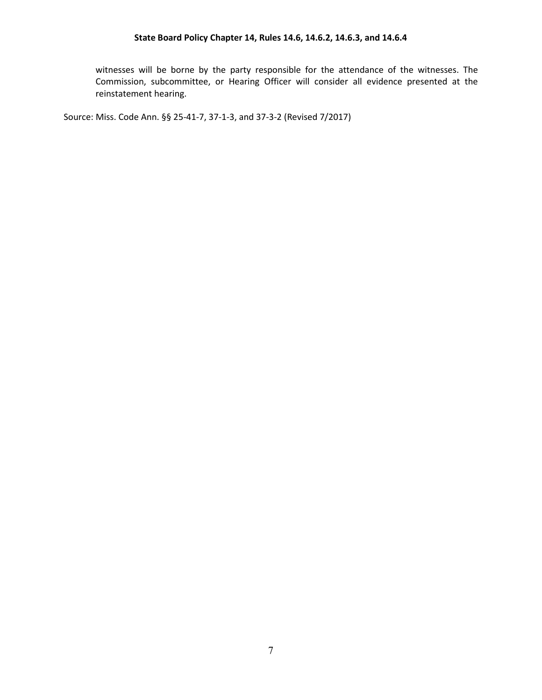witnesses will be borne by the party responsible for the attendance of the witnesses. The Commission, subcommittee, or Hearing Officer will consider all evidence presented at the reinstatement hearing.

Source: Miss. Code Ann. §§ 25-41-7, 37-1-3, and 37-3-2 (Revised 7/2017)